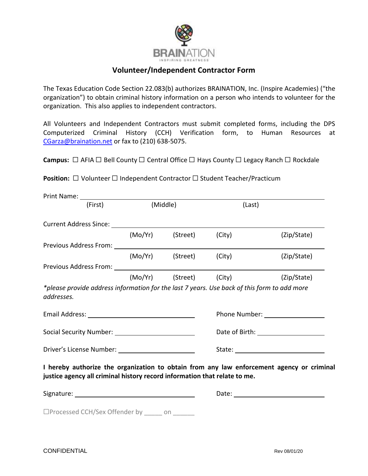

## **Volunteer/Independent Contractor Form**

The Texas Education Code Section 22.083(b) authorizes BRAINATION, Inc. (Inspire Academies) ("the organization") to obtain criminal history information on a person who intends to volunteer for the organization. This also applies to independent contractors.

All Volunteers and Independent Contractors must submit completed forms, including the DPS Computerized Criminal History (CCH) Verification form, to Human Resources at [CGarza@braination.net](mailto:CGarza@braination.net) or fax to (210) 638-5075.

**Campus:** ☐ AFIA ☐ Bell County ☐ Central Office ☐ Hays County ☐ Legacy Ranch ☐ Rockdale

**Position:**  $□$  Volunteer  $□$  Independent Contractor  $□$  Student Teacher/Practicum

|                                                                                                           | (First) | (Middle) |                         | (Last) |                                                                                           |
|-----------------------------------------------------------------------------------------------------------|---------|----------|-------------------------|--------|-------------------------------------------------------------------------------------------|
|                                                                                                           |         |          |                         |        |                                                                                           |
|                                                                                                           |         |          | (Mo/Yr) (Street)        | (City) | (Zip/State)                                                                               |
|                                                                                                           |         |          |                         |        |                                                                                           |
|                                                                                                           |         |          | (Mo/Yr) (Street) (City) |        | (Zip/State)                                                                               |
|                                                                                                           |         |          |                         |        |                                                                                           |
|                                                                                                           |         |          |                         |        | (Mo/Yr) (Street) (City) (Zip/State)                                                       |
| *please provide address information for the last 7 years. Use back of this form to add more<br>addresses. |         |          |                         |        |                                                                                           |
|                                                                                                           |         |          |                         |        |                                                                                           |
|                                                                                                           |         |          |                         |        |                                                                                           |
| Driver's License Number: ________________________                                                         |         |          |                         |        |                                                                                           |
| justice agency all criminal history record information that relate to me.                                 |         |          |                         |        | I hereby authorize the organization to obtain from any law enforcement agency or criminal |
|                                                                                                           |         |          |                         |        |                                                                                           |
| □Processed CCH/Sex Offender by ______ on ______                                                           |         |          |                         |        |                                                                                           |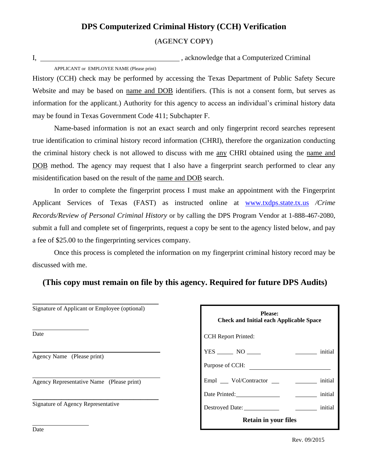## **DPS Computerized Criminal History (CCH) Verification**

**(AGENCY COPY)**

I, acknowledge that a Computerized Criminal

APPLICANT or EMPLOYEE NAME (Please print)

History (CCH) check may be performed by accessing the Texas Department of Public Safety Secure Website and may be based on name and DOB identifiers. (This is not a consent form, but serves as information for the applicant.) Authority for this agency to access an individual's criminal history data may be found in Texas Government Code 411; Subchapter F.

Name-based information is not an exact search and only fingerprint record searches represent true identification to criminal history record information (CHRI), therefore the organization conducting the criminal history check is not allowed to discuss with me any CHRI obtained using the name and DOB method. The agency may request that I also have a fingerprint search performed to clear any misidentification based on the result of the name and DOB search.

In order to complete the fingerprint process I must make an appointment with the Fingerprint Applicant Services of Texas (FAST) as instructed online at [www.txdps.state.tx.us](http://www.txdps.state.tx.us/) */Crime Records/Review of Personal Criminal History* or by calling the DPS Program Vendor at 1-888-467-2080, submit a full and complete set of fingerprints, request a copy be sent to the agency listed below, and pay a fee of \$25.00 to the fingerprinting services company.

Once this process is completed the information on my fingerprint criminal history record may be discussed with me.

## **(This copy must remain on file by this agency. Required for future DPS Audits)**

| Signature of Applicant or Employee (optional) |  |
|-----------------------------------------------|--|
| Date                                          |  |
| Agency Name (Please print)                    |  |
| Agency Representative Name (Please print)     |  |
| Signature of Agency Representative            |  |

| <b>Please:</b><br><b>Check and Initial each Applicable Space</b> |         |  |  |  |
|------------------------------------------------------------------|---------|--|--|--|
| CCH Report Printed:                                              |         |  |  |  |
|                                                                  | initial |  |  |  |
| Purpose of CCH:                                                  |         |  |  |  |
| Empl __ Vol/Contractor __                                        | initial |  |  |  |
| Date Printed:                                                    | initial |  |  |  |
| Destroyed Date:                                                  | initial |  |  |  |
| <b>Retain in your files</b>                                      |         |  |  |  |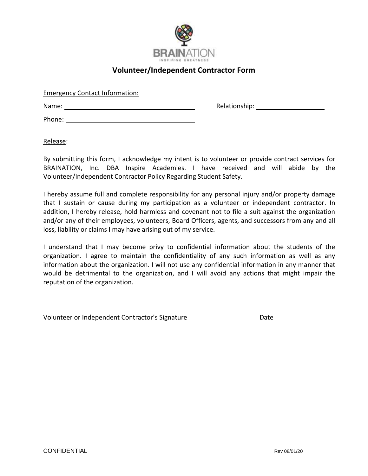

## **Volunteer/Independent Contractor Form**

Emergency Contact Information:

| Name: |  |  |
|-------|--|--|
|       |  |  |

Relationship: and the set of the set of the set of the set of the set of the set of the set of the set of the set of the set of the set of the set of the set of the set of the set of the set of the set of the set of the se

Phone:

Release:

By submitting this form, I acknowledge my intent is to volunteer or provide contract services for BRAINATION, Inc. DBA Inspire Academies. I have received and will abide by the Volunteer/Independent Contractor Policy Regarding Student Safety.

I hereby assume full and complete responsibility for any personal injury and/or property damage that I sustain or cause during my participation as a volunteer or independent contractor. In addition, I hereby release, hold harmless and covenant not to file a suit against the organization and/or any of their employees, volunteers, Board Officers, agents, and successors from any and all loss, liability or claims I may have arising out of my service.

I understand that I may become privy to confidential information about the students of the organization. I agree to maintain the confidentiality of any such information as well as any information about the organization. I will not use any confidential information in any manner that would be detrimental to the organization, and I will avoid any actions that might impair the reputation of the organization.

| Volunteer or Independent Contractor's Signature | Date |
|-------------------------------------------------|------|
|                                                 |      |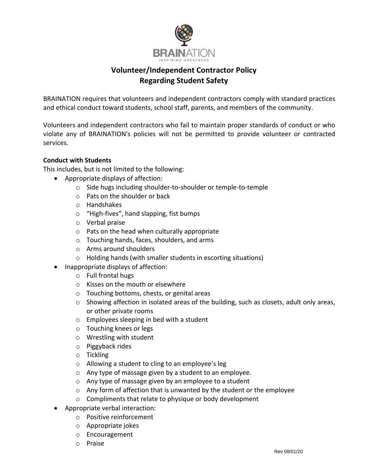

# **Volunteer/Independent Contractor Policy Regarding Student Safety**

BRAINATION requires that volunteers and independent contractors comply with standard practices and ethical conduct toward students, school staff, parents, and members of the community.

Volunteers and independent contractors who fail to maintain proper standards of conduct or who violate any of BRAINATION's policies will not be permitted to provide volunteer or contracted services.

#### **Conduct with Students**

This includes, but is not limited to the following:

- Appropriate displays of affection:
	- o Side hugs including shoulder-to-shoulder or temple-to-temple
	- o Pats on the shoulder or back
	- o Handshakes
	- o "High-fives", hand slapping, fist bumps
	- o Verbal praise
	- o Pats on the head when culturally appropriate
	- o Touching hands, faces, shoulders, and arms
	- o Arms around shoulders
	- o Holding hands (with smaller students in escorting situations)
- Inappropriate displays of affection:
	- o Full frontal hugs
	- o Kisses on the mouth or elsewhere
	- o Touching bottoms, chests, or genital areas
	- o Showing affection in isolated areas of the building, such as closets, adult only areas, or other private rooms
	- o Employees sleeping in bed with a student
	- o Touching knees or legs
	- o Wrestling with student
	- o Piggyback rides
	- o Tickling
	- o Allowing a student to cling to an employee's leg
	- o Any type of massage given by a student to an employee.
	- o Any type of massage given by an employee to a student
	- o Any form of affection that is unwanted by the student or the employee
	- o Compliments that relate to physique or body development
- Appropriate verbal interaction:
	- o Positive reinforcement
	- o Appropriate jokes
	- o Encouragement
	- o Praise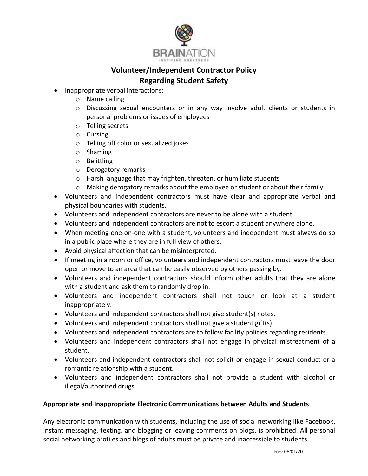

## **Volunteer/Independent Contractor Policy Regarding Student Safety**

- Inappropriate verbal interactions:
	- o Name calling
	- o Discussing sexual encounters or in any way involve adult clients or students in personal problems or issues of employees
	- o Telling secrets
	- o Cursing
	- o Telling off color or sexualized jokes
	- o Shaming
	- o Belittling
	- o Derogatory remarks
	- o Harsh language that may frighten, threaten, or humiliate students
	- o Making derogatory remarks about the employee or student or about their family
- Volunteers and independent contractors must have clear and appropriate verbal and physical boundaries with students.
- Volunteers and independent contractors are never to be alone with a student.
- Volunteers and independent contractors are not to escort a student anywhere alone.
- When meeting one-on-one with a student, volunteers and independent must always do so in a public place where they are in full view of others.
- Avoid physical affection that can be misinterpreted.
- If meeting in a room or office, volunteers and independent contractors must leave the door open or move to an area that can be easily observed by others passing by.
- Volunteers and independent contractors should Inform other adults that they are alone with a student and ask them to randomly drop in.
- Volunteers and independent contractors shall not touch or look at a student inappropriately.
- Volunteers and independent contractors shall not give student(s) notes.
- Volunteers and independent contractors shall not give a student gift(s).
- Volunteers and independent contractors are to follow facility policies regarding residents.
- Volunteers and independent contractors shall not engage in physical mistreatment of a student.
- Volunteers and independent contractors shall not solicit or engage in sexual conduct or a romantic relationship with a student.
- Volunteers and independent contractors shall not provide a student with alcohol or illegal/authorized drugs.

#### **Appropriate and Inappropriate Electronic Communications between Adults and Students**

Any electronic communication with students, including the use of social networking like Facebook, instant messaging, texting, and blogging or leaving comments on blogs, is prohibited. All personal social networking profiles and blogs of adults must be private and inaccessible to students.